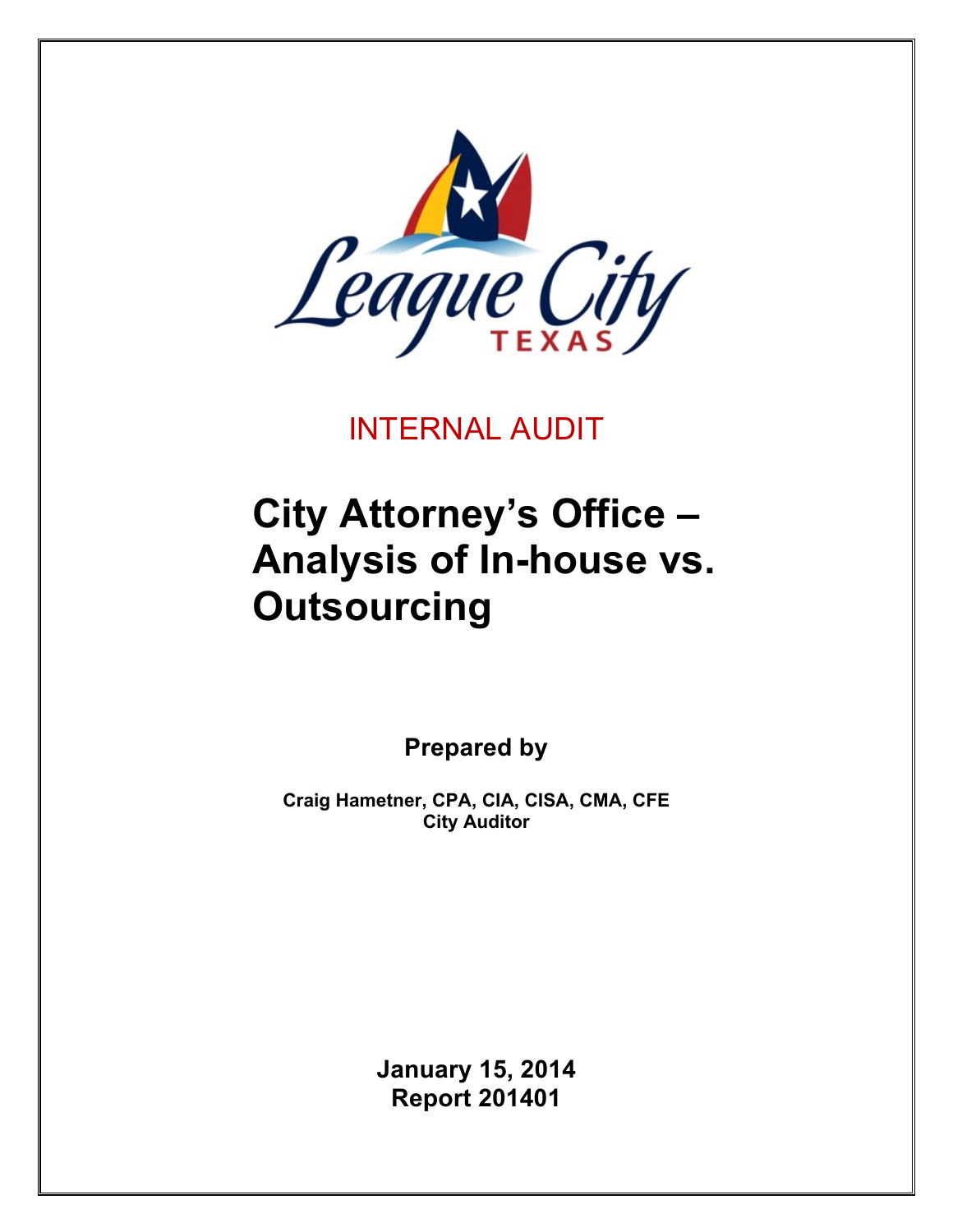

INTERNAL AUDIT

# **City Attorney's Office – Analysis of In-house vs. Outsourcing**

**Prepared by**

**Craig Hametner, CPA, CIA, CISA, CMA, CFE City Auditor**

> **January 15, 2014 Report 201401**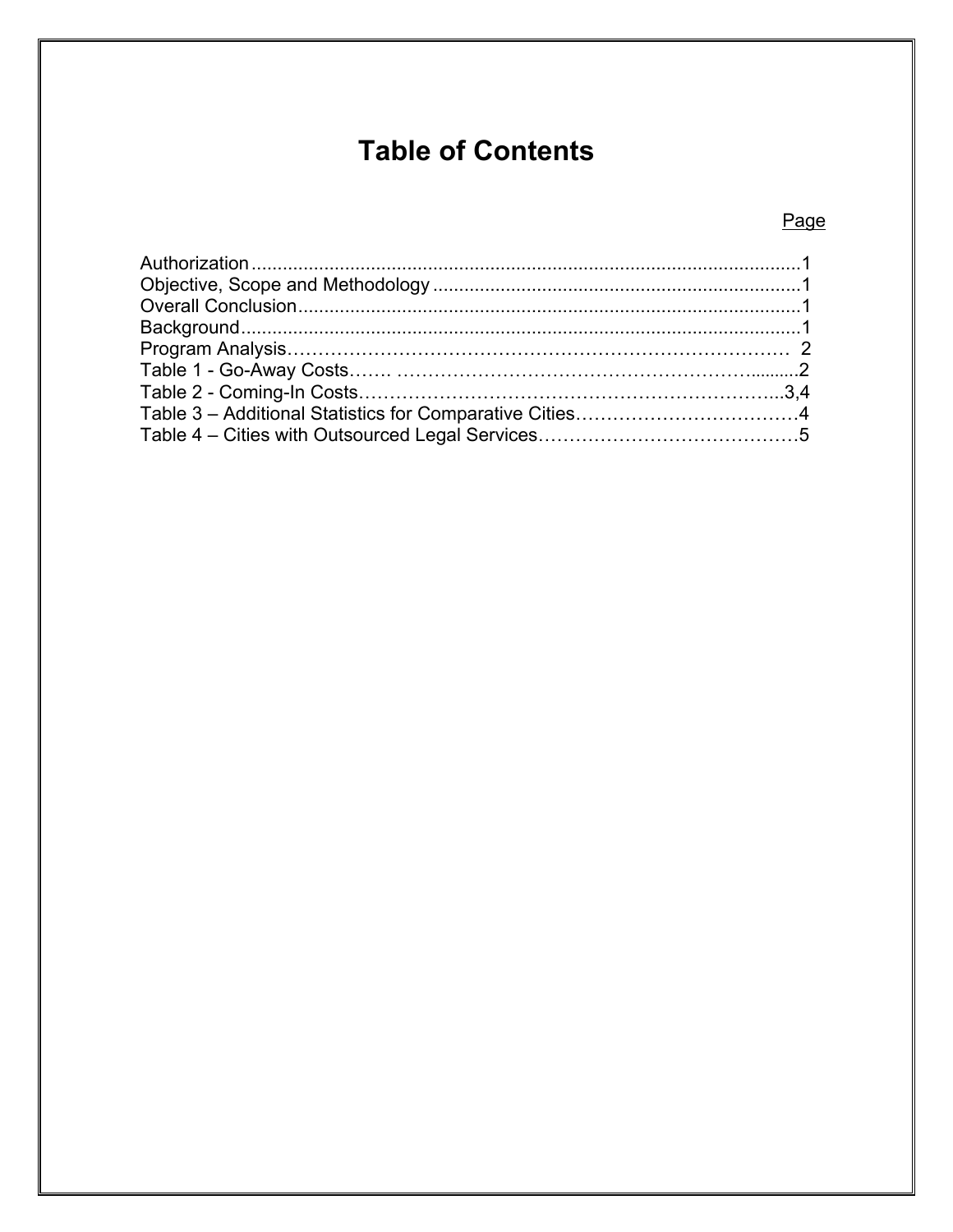# **Table of Contents**

# Page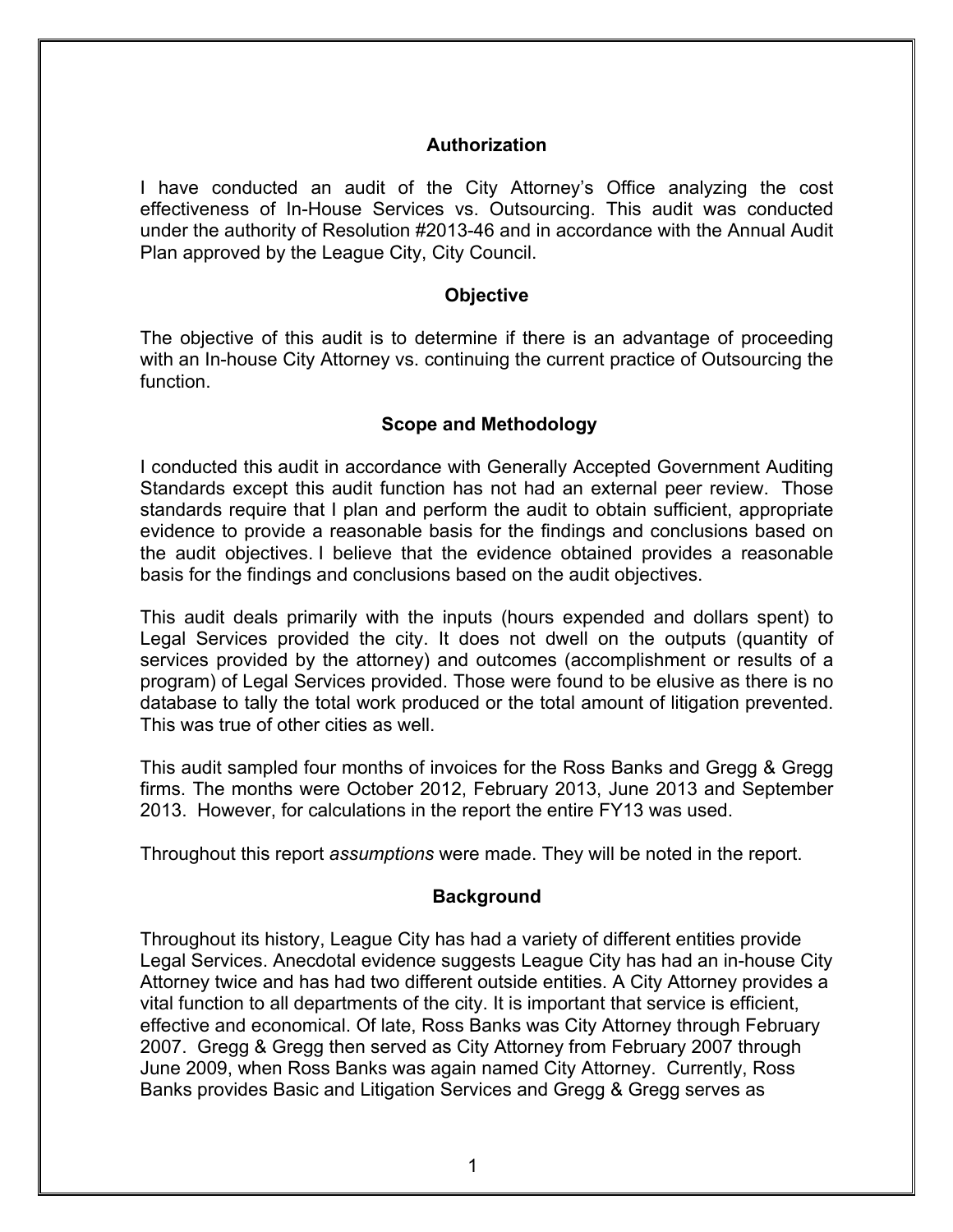#### **Authorization**

I have conducted an audit of the City Attorney's Office analyzing the cost effectiveness of In-House Services vs. Outsourcing. This audit was conducted under the authority of Resolution #2013-46 and in accordance with the Annual Audit Plan approved by the League City, City Council.

#### **Objective**

The objective of this audit is to determine if there is an advantage of proceeding with an In-house City Attorney vs. continuing the current practice of Outsourcing the function.

#### **Scope and Methodology**

I conducted this audit in accordance with Generally Accepted Government Auditing Standards except this audit function has not had an external peer review. Those standards require that I plan and perform the audit to obtain sufficient, appropriate evidence to provide a reasonable basis for the findings and conclusions based on the audit objectives. I believe that the evidence obtained provides a reasonable basis for the findings and conclusions based on the audit objectives.

This audit deals primarily with the inputs (hours expended and dollars spent) to Legal Services provided the city. It does not dwell on the outputs (quantity of services provided by the attorney) and outcomes (accomplishment or results of a program) of Legal Services provided. Those were found to be elusive as there is no database to tally the total work produced or the total amount of litigation prevented. This was true of other cities as well.

This audit sampled four months of invoices for the Ross Banks and Gregg & Gregg firms. The months were October 2012, February 2013, June 2013 and September 2013. However, for calculations in the report the entire FY13 was used.

Throughout this report *assumptions* were made. They will be noted in the report.

#### **Background**

Throughout its history, League City has had a variety of different entities provide Legal Services. Anecdotal evidence suggests League City has had an in-house City Attorney twice and has had two different outside entities. A City Attorney provides a vital function to all departments of the city. It is important that service is efficient, effective and economical. Of late, Ross Banks was City Attorney through February 2007. Gregg & Gregg then served as City Attorney from February 2007 through June 2009, when Ross Banks was again named City Attorney. Currently, Ross Banks provides Basic and Litigation Services and Gregg & Gregg serves as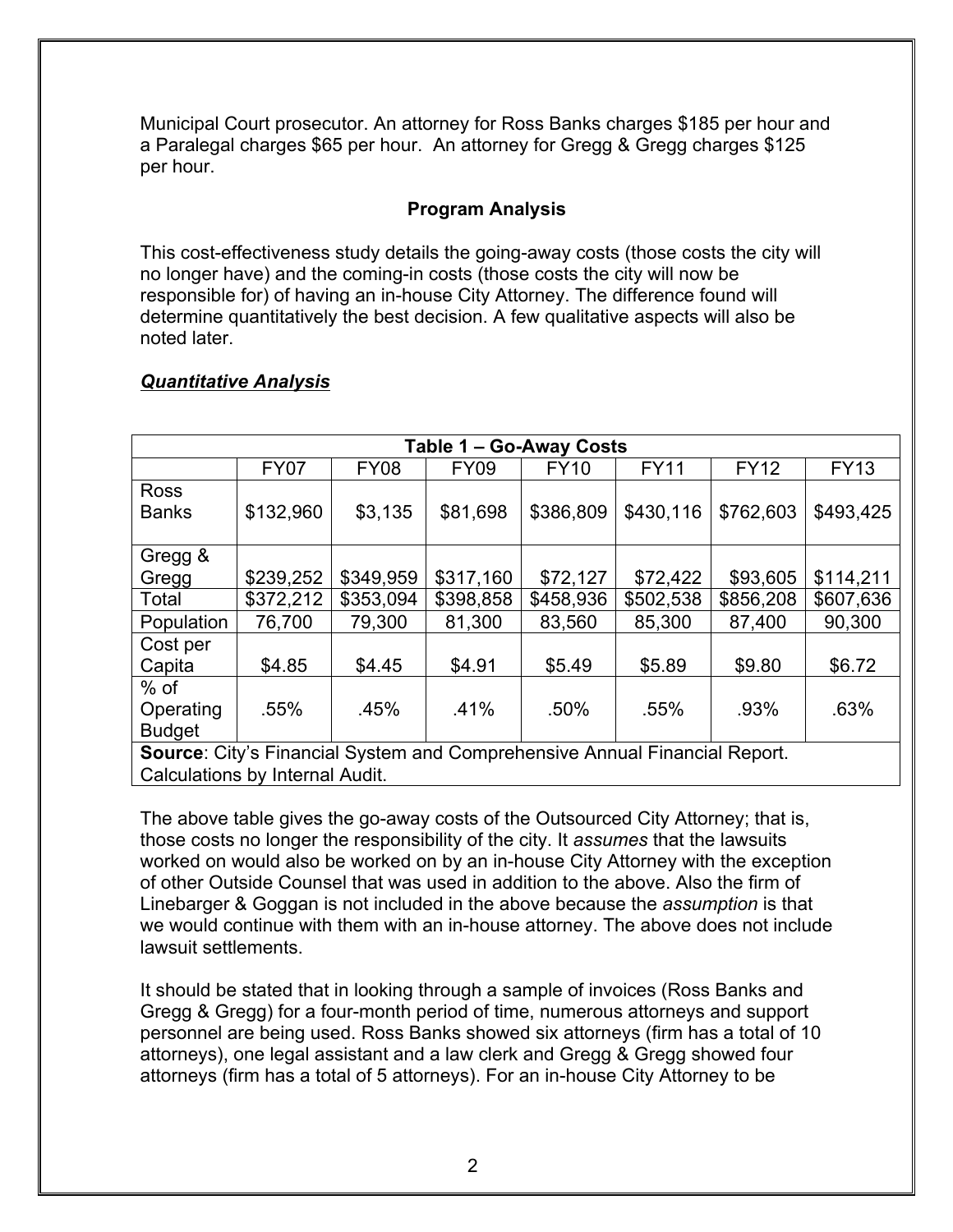Municipal Court prosecutor. An attorney for Ross Banks charges \$185 per hour and a Paralegal charges \$65 per hour. An attorney for Gregg & Gregg charges \$125 per hour.

### **Program Analysis**

This cost-effectiveness study details the going-away costs (those costs the city will no longer have) and the coming-in costs (those costs the city will now be responsible for) of having an in-house City Attorney. The difference found will determine quantitatively the best decision. A few qualitative aspects will also be noted later.

# *Quantitative Analysis*

| Table 1 – Go-Away Costs                                                    |             |             |             |             |             |             |             |  |
|----------------------------------------------------------------------------|-------------|-------------|-------------|-------------|-------------|-------------|-------------|--|
|                                                                            | <b>FY07</b> | <b>FY08</b> | <b>FY09</b> | <b>FY10</b> | <b>FY11</b> | <b>FY12</b> | <b>FY13</b> |  |
| <b>Ross</b>                                                                |             |             |             |             |             |             |             |  |
| <b>Banks</b>                                                               | \$132,960   | \$3,135     | \$81,698    | \$386,809   | \$430,116   | \$762,603   | \$493,425   |  |
|                                                                            |             |             |             |             |             |             |             |  |
| Gregg &                                                                    |             |             |             |             |             |             |             |  |
| Gregg                                                                      | \$239,252   | \$349,959   | \$317,160   | \$72,127    | \$72,422    | \$93,605    | \$114,211   |  |
| Total                                                                      | \$372,212   | \$353,094   | \$398,858   | \$458,936   | \$502,538   | \$856,208   | \$607,636   |  |
| Population                                                                 | 76,700      | 79,300      | 81,300      | 83,560      | 85,300      | 87,400      | 90,300      |  |
| Cost per                                                                   |             |             |             |             |             |             |             |  |
| Capita                                                                     | \$4.85      | \$4.45      | \$4.91      | \$5.49      | \$5.89      | \$9.80      | \$6.72      |  |
| $%$ of                                                                     |             |             |             |             |             |             |             |  |
| Operating                                                                  | .55%        | .45%        | .41%        | .50%        | .55%        | .93%        | .63%        |  |
| <b>Budget</b>                                                              |             |             |             |             |             |             |             |  |
| Source: City's Financial System and Comprehensive Annual Financial Report. |             |             |             |             |             |             |             |  |
| Calculations by Internal Audit.                                            |             |             |             |             |             |             |             |  |

The above table gives the go-away costs of the Outsourced City Attorney; that is, those costs no longer the responsibility of the city. It *assumes* that the lawsuits worked on would also be worked on by an in-house City Attorney with the exception of other Outside Counsel that was used in addition to the above. Also the firm of Linebarger & Goggan is not included in the above because the *assumption* is that we would continue with them with an in-house attorney. The above does not include lawsuit settlements.

It should be stated that in looking through a sample of invoices (Ross Banks and Gregg & Gregg) for a four-month period of time, numerous attorneys and support personnel are being used. Ross Banks showed six attorneys (firm has a total of 10 attorneys), one legal assistant and a law clerk and Gregg & Gregg showed four attorneys (firm has a total of 5 attorneys). For an in-house City Attorney to be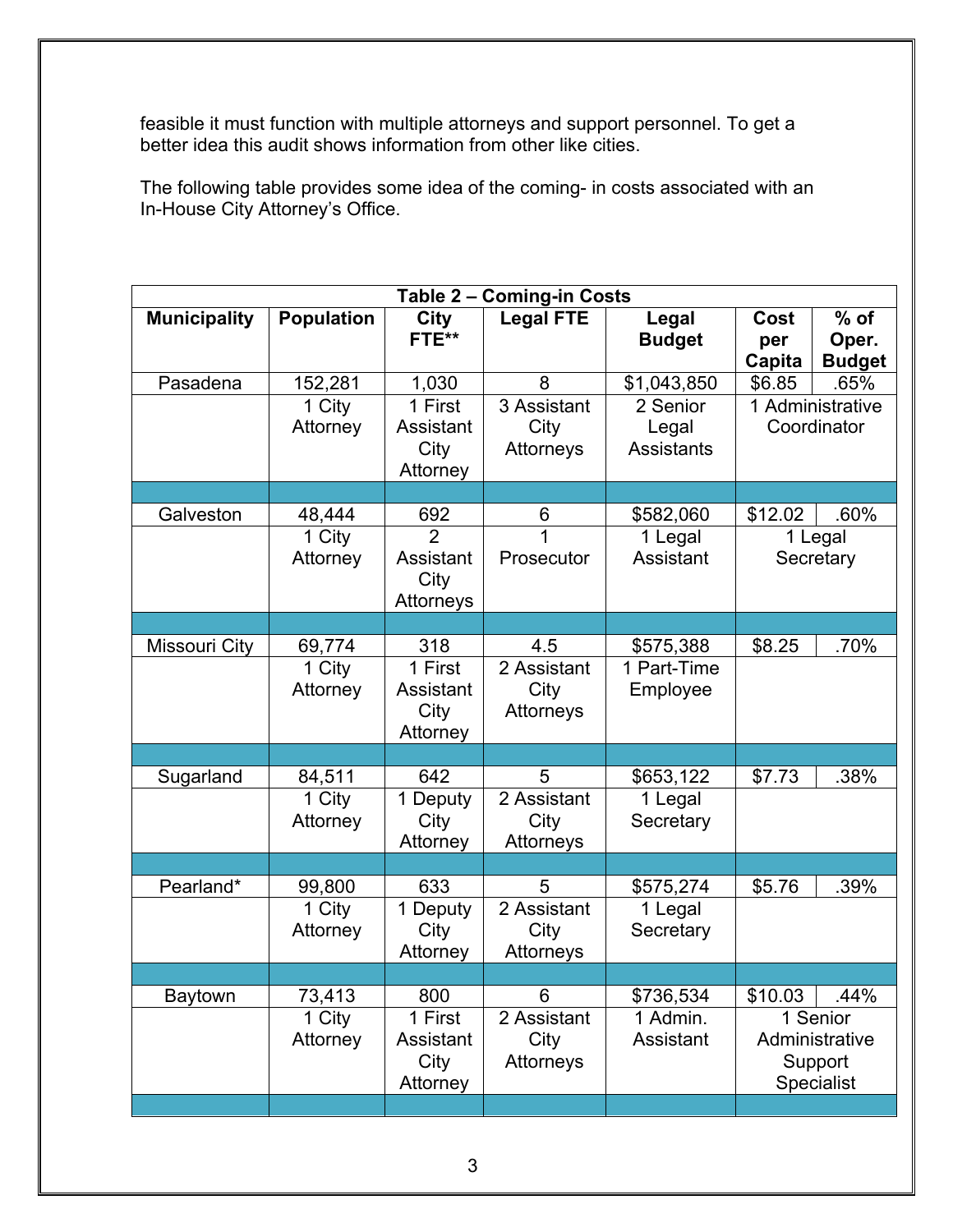feasible it must function with multiple attorneys and support personnel. To get a better idea this audit shows information from other like cities.

The following table provides some idea of the coming- in costs associated with an In-House City Attorney's Office.

| Table 2 - Coming-in Costs |                    |                                          |                                  |                                        |                       |                                                     |
|---------------------------|--------------------|------------------------------------------|----------------------------------|----------------------------------------|-----------------------|-----------------------------------------------------|
| <b>Municipality</b>       | <b>Population</b>  | <b>City</b><br>FTE**                     | <b>Legal FTE</b>                 | Legal<br><b>Budget</b>                 | Cost<br>per<br>Capita | $%$ of<br>Oper.<br><b>Budget</b>                    |
| Pasadena                  | 152,281            | 1,030                                    | 8                                | \$1,043,850                            | \$6.85                | .65%                                                |
|                           | 1 City<br>Attorney | 1 First<br>Assistant<br>City<br>Attorney | 3 Assistant<br>City<br>Attorneys | 2 Senior<br>Legal<br><b>Assistants</b> |                       | 1 Administrative<br>Coordinator                     |
|                           |                    |                                          |                                  |                                        |                       |                                                     |
| Galveston                 | 48,444             | 692                                      | 6                                | \$582,060                              | \$12.02               | .60%                                                |
|                           | 1 City<br>Attorney | Assistant<br>City<br>Attorneys           | $\overline{1}$<br>Prosecutor     | 1 Legal<br>Assistant                   |                       | 1 Legal<br>Secretary                                |
|                           |                    |                                          |                                  |                                        |                       |                                                     |
| <b>Missouri City</b>      | 69,774             | 318                                      | 4.5                              | \$575,388                              | \$8.25                | .70%                                                |
|                           | 1 City<br>Attorney | 1 First<br>Assistant<br>City<br>Attorney | 2 Assistant<br>City<br>Attorneys | 1 Part-Time<br>Employee                |                       |                                                     |
|                           |                    |                                          |                                  |                                        |                       |                                                     |
| Sugarland                 | 84,511             | 642                                      | 5                                | \$653,122                              | \$7.73                | .38%                                                |
|                           | 1 City<br>Attorney | 1 Deputy<br>City<br>Attorney             | 2 Assistant<br>City<br>Attorneys | 1 Legal<br>Secretary                   |                       |                                                     |
|                           |                    |                                          |                                  |                                        |                       |                                                     |
| Pearland*                 | 99,800             | 633                                      | 5                                | \$575,274                              | \$5.76                | .39%                                                |
|                           | 1 City<br>Attorney | 1 Deputy<br>City<br>Attorney             | 2 Assistant<br>City<br>Attorneys | 1 Legal<br>Secretary                   |                       |                                                     |
|                           |                    |                                          |                                  |                                        |                       |                                                     |
| <b>Baytown</b>            | 73,413             | 800                                      | 6                                | \$736,534                              | \$10.03               | .44%                                                |
|                           | 1 City<br>Attorney | 1 First<br>Assistant<br>City<br>Attorney | 2 Assistant<br>City<br>Attorneys | 1 Admin.<br>Assistant                  |                       | 1 Senior<br>Administrative<br>Support<br>Specialist |
|                           |                    |                                          |                                  |                                        |                       |                                                     |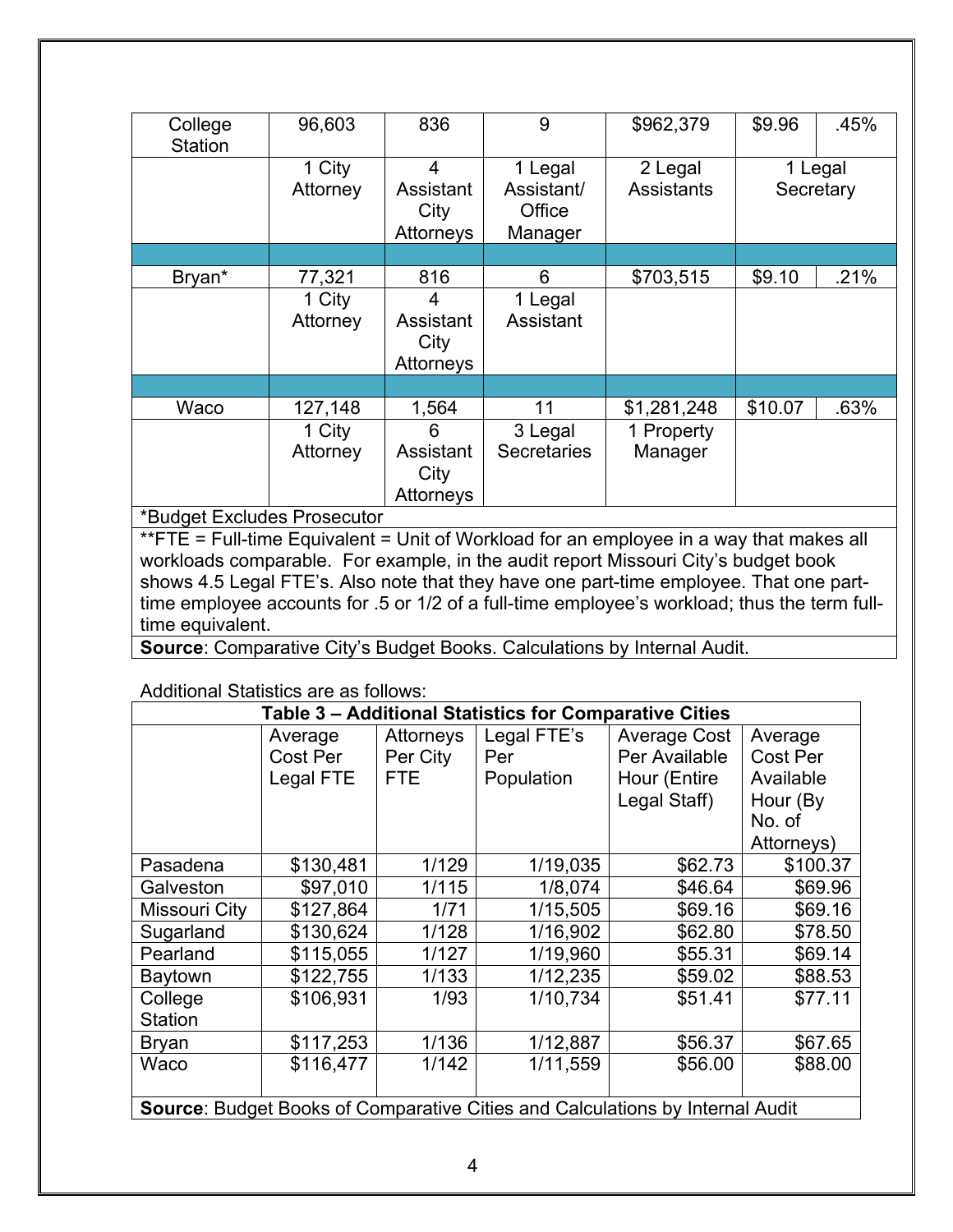| College<br><b>Station</b> | 96,603             | 836                                 | 9                                          | \$962,379                    | \$9.96  | .45%                 |
|---------------------------|--------------------|-------------------------------------|--------------------------------------------|------------------------------|---------|----------------------|
|                           | 1 City<br>Attorney | 4<br>Assistant<br>City<br>Attorneys | 1 Legal<br>Assistant/<br>Office<br>Manager | 2 Legal<br><b>Assistants</b> |         | 1 Legal<br>Secretary |
|                           |                    |                                     |                                            |                              |         |                      |
| Bryan*                    | 77,321             | 816                                 | 6                                          | \$703,515                    | \$9.10  | .21%                 |
|                           | 1 City<br>Attorney | 4<br>Assistant<br>City<br>Attorneys | 1 Legal<br>Assistant                       |                              |         |                      |
|                           |                    |                                     |                                            |                              |         |                      |
| Waco                      | 127,148            | 1,564                               | 11                                         | \$1,281,248                  | \$10.07 | .63%                 |
|                           | 1 City             | 6                                   | 3 Legal                                    | 1 Property                   |         |                      |
|                           | Attorney           | Assistant<br>City<br>Attorneys      | <b>Secretaries</b>                         | Manager                      |         |                      |

\*Budget Excludes Prosecutor

\*\*FTE = Full-time Equivalent = Unit of Workload for an employee in a way that makes all workloads comparable. For example, in the audit report Missouri City's budget book shows 4.5 Legal FTE's. Also note that they have one part-time employee. That one parttime employee accounts for .5 or 1/2 of a full-time employee's workload; thus the term fulltime equivalent.

**Source**: Comparative City's Budget Books. Calculations by Internal Audit.

Additional Statistics are as follows:

| Table 3 - Additional Statistics for Comparative Cities                               |           |            |             |                     |            |
|--------------------------------------------------------------------------------------|-----------|------------|-------------|---------------------|------------|
|                                                                                      | Average   | Attorneys  | Legal FTE's | <b>Average Cost</b> | Average    |
|                                                                                      | Cost Per  | Per City   | Per         | Per Available       | Cost Per   |
|                                                                                      | Legal FTE | <b>FTE</b> | Population  | Hour (Entire        | Available  |
|                                                                                      |           |            |             | Legal Staff)        | Hour (By   |
|                                                                                      |           |            |             |                     | No. of     |
|                                                                                      |           |            |             |                     | Attorneys) |
| Pasadena                                                                             | \$130,481 | 1/129      | 1/19,035    | \$62.73             | \$100.37   |
| Galveston                                                                            | \$97,010  | 1/115      | 1/8,074     | \$46.64             | \$69.96    |
| Missouri City                                                                        | \$127,864 | 1/71       | 1/15,505    | \$69.16             | \$69.16    |
| Sugarland                                                                            | \$130,624 | 1/128      | 1/16,902    | \$62.80             | \$78.50    |
| Pearland                                                                             | \$115,055 | 1/127      | 1/19,960    | \$55.31             | \$69.14    |
| Baytown                                                                              | \$122,755 | 1/133      | 1/12,235    | \$59.02             | \$88.53    |
| College                                                                              | \$106,931 | 1/93       | 1/10,734    | \$51.41             | \$77.11    |
| <b>Station</b>                                                                       |           |            |             |                     |            |
| <b>Bryan</b>                                                                         | \$117,253 | 1/136      | 1/12,887    | \$56.37             | \$67.65    |
| Waco                                                                                 | \$116,477 | 1/142      | 1/11,559    | \$56.00             | \$88.00    |
|                                                                                      |           |            |             |                     |            |
| <b>Source: Budget Books of Comparative Cities and Calculations by Internal Audit</b> |           |            |             |                     |            |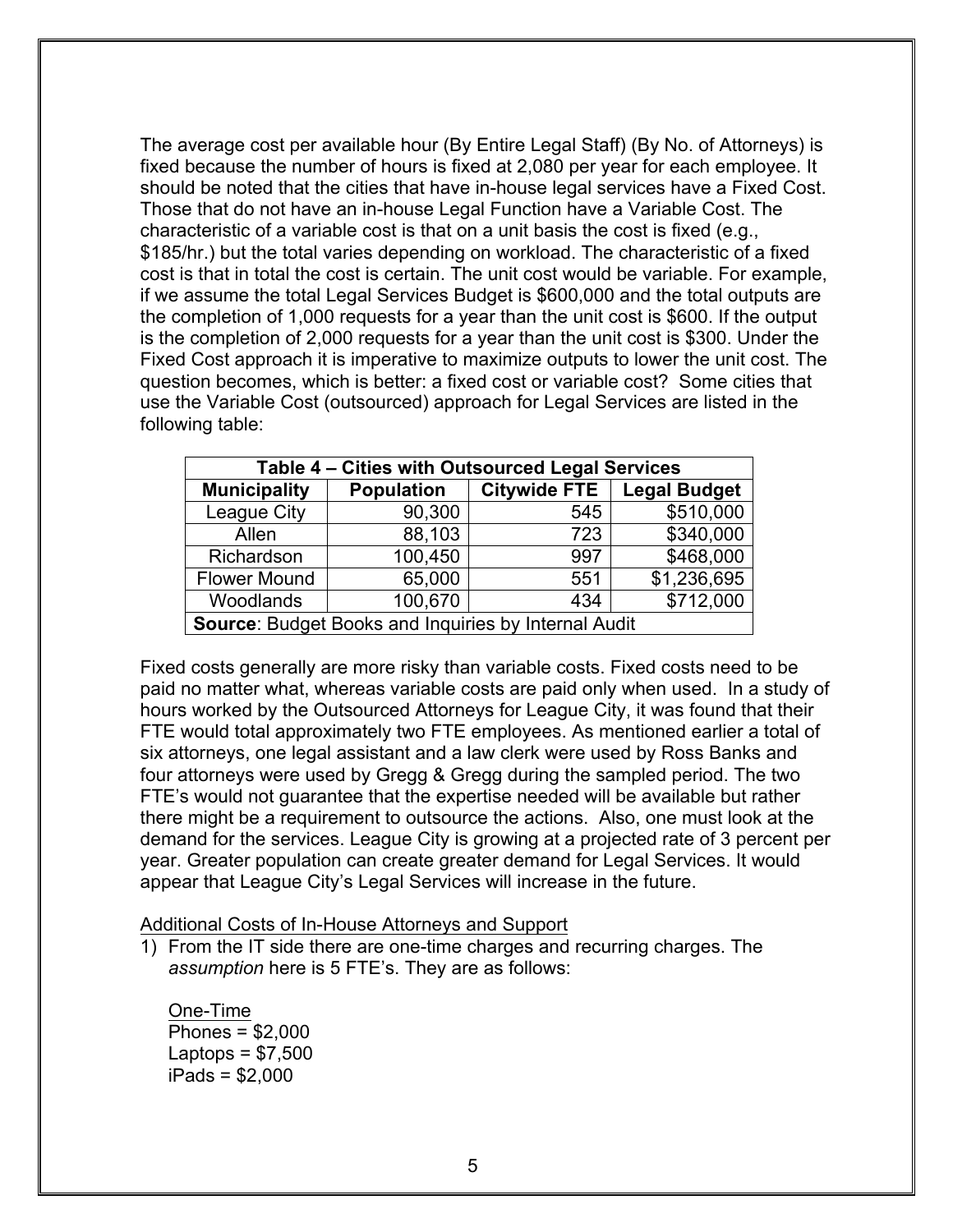The average cost per available hour (By Entire Legal Staff) (By No. of Attorneys) is fixed because the number of hours is fixed at 2,080 per year for each employee. It should be noted that the cities that have in-house legal services have a Fixed Cost. Those that do not have an in-house Legal Function have a Variable Cost. The characteristic of a variable cost is that on a unit basis the cost is fixed (e.g., \$185/hr.) but the total varies depending on workload. The characteristic of a fixed cost is that in total the cost is certain. The unit cost would be variable. For example, if we assume the total Legal Services Budget is \$600,000 and the total outputs are the completion of 1,000 requests for a year than the unit cost is \$600. If the output is the completion of 2,000 requests for a year than the unit cost is \$300. Under the Fixed Cost approach it is imperative to maximize outputs to lower the unit cost. The question becomes, which is better: a fixed cost or variable cost? Some cities that use the Variable Cost (outsourced) approach for Legal Services are listed in the following table:

| Table 4 - Cities with Outsourced Legal Services      |                   |                     |                     |  |  |  |
|------------------------------------------------------|-------------------|---------------------|---------------------|--|--|--|
| <b>Municipality</b>                                  | <b>Population</b> | <b>Citywide FTE</b> | <b>Legal Budget</b> |  |  |  |
| League City                                          | 90,300            | 545                 | \$510,000           |  |  |  |
| Allen                                                | 88,103            | 723                 | \$340,000           |  |  |  |
| Richardson                                           | 100,450           | 997                 | \$468,000           |  |  |  |
| <b>Flower Mound</b>                                  | 65,000            | 551                 | \$1,236,695         |  |  |  |
| Woodlands                                            | 100,670           | 434                 | \$712,000           |  |  |  |
| Source: Budget Books and Inquiries by Internal Audit |                   |                     |                     |  |  |  |

Fixed costs generally are more risky than variable costs. Fixed costs need to be paid no matter what, whereas variable costs are paid only when used. In a study of hours worked by the Outsourced Attorneys for League City, it was found that their FTE would total approximately two FTE employees. As mentioned earlier a total of six attorneys, one legal assistant and a law clerk were used by Ross Banks and four attorneys were used by Gregg & Gregg during the sampled period. The two FTE's would not guarantee that the expertise needed will be available but rather there might be a requirement to outsource the actions. Also, one must look at the demand for the services. League City is growing at a projected rate of 3 percent per year. Greater population can create greater demand for Legal Services. It would appear that League City's Legal Services will increase in the future.

Additional Costs of In-House Attorneys and Support

1) From the IT side there are one-time charges and recurring charges. The *assumption* here is 5 FTE's. They are as follows:

One-Time Phones = \$2,000 Laptops  $= $7,500$ iPads = \$2,000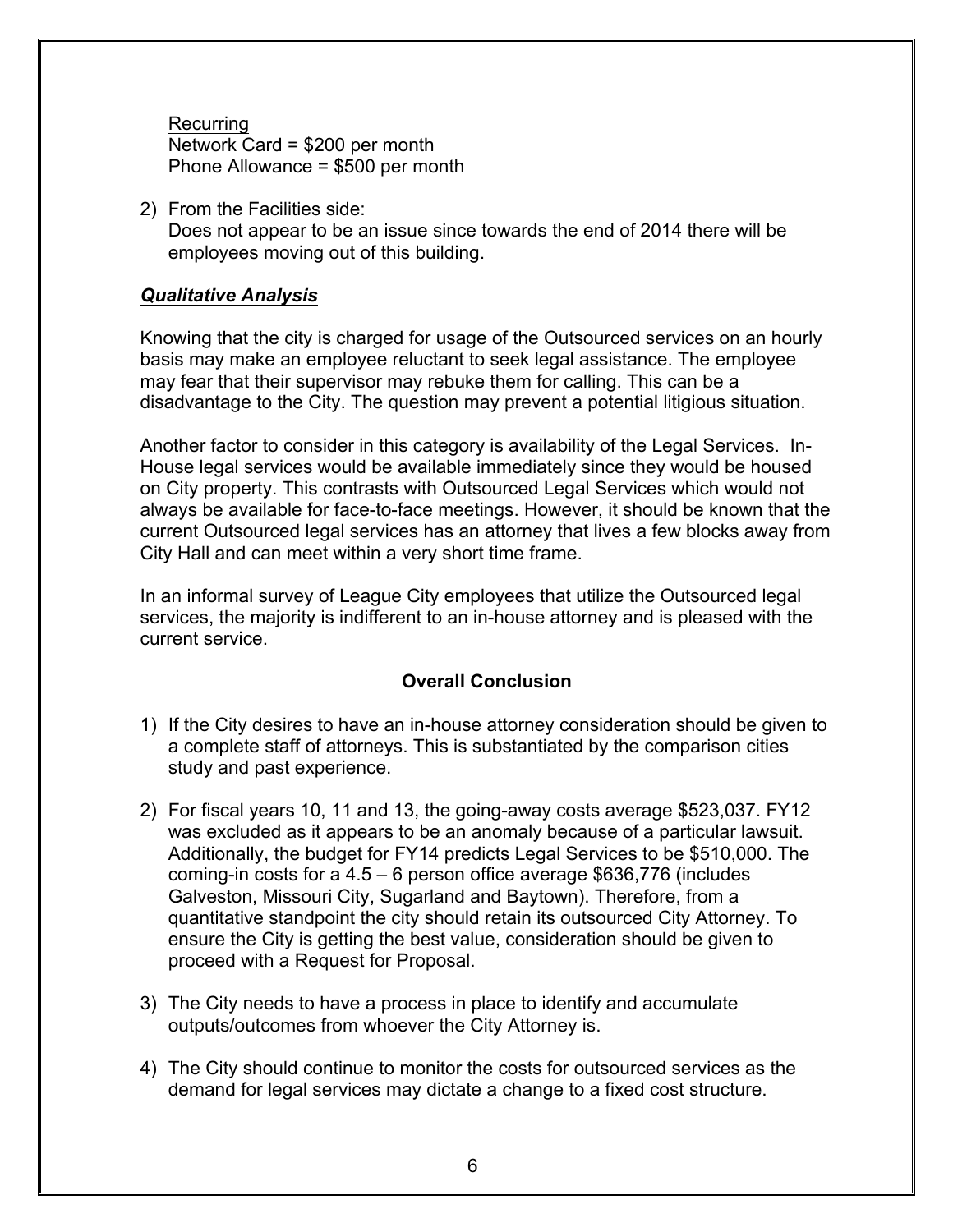Recurring Network Card = \$200 per month Phone Allowance = \$500 per month

2) From the Facilities side: Does not appear to be an issue since towards the end of 2014 there will be employees moving out of this building.

#### *Qualitative Analysis*

Knowing that the city is charged for usage of the Outsourced services on an hourly basis may make an employee reluctant to seek legal assistance. The employee may fear that their supervisor may rebuke them for calling. This can be a disadvantage to the City. The question may prevent a potential litigious situation.

Another factor to consider in this category is availability of the Legal Services. In-House legal services would be available immediately since they would be housed on City property. This contrasts with Outsourced Legal Services which would not always be available for face-to-face meetings. However, it should be known that the current Outsourced legal services has an attorney that lives a few blocks away from City Hall and can meet within a very short time frame.

In an informal survey of League City employees that utilize the Outsourced legal services, the majority is indifferent to an in-house attorney and is pleased with the current service.

#### **Overall Conclusion**

- 1) If the City desires to have an in-house attorney consideration should be given to a complete staff of attorneys. This is substantiated by the comparison cities study and past experience.
- 2) For fiscal years 10, 11 and 13, the going-away costs average \$523,037. FY12 was excluded as it appears to be an anomaly because of a particular lawsuit. Additionally, the budget for FY14 predicts Legal Services to be \$510,000. The coming-in costs for a 4.5 – 6 person office average \$636,776 (includes Galveston, Missouri City, Sugarland and Baytown). Therefore, from a quantitative standpoint the city should retain its outsourced City Attorney. To ensure the City is getting the best value, consideration should be given to proceed with a Request for Proposal.
- 3) The City needs to have a process in place to identify and accumulate outputs/outcomes from whoever the City Attorney is.
- 4) The City should continue to monitor the costs for outsourced services as the demand for legal services may dictate a change to a fixed cost structure.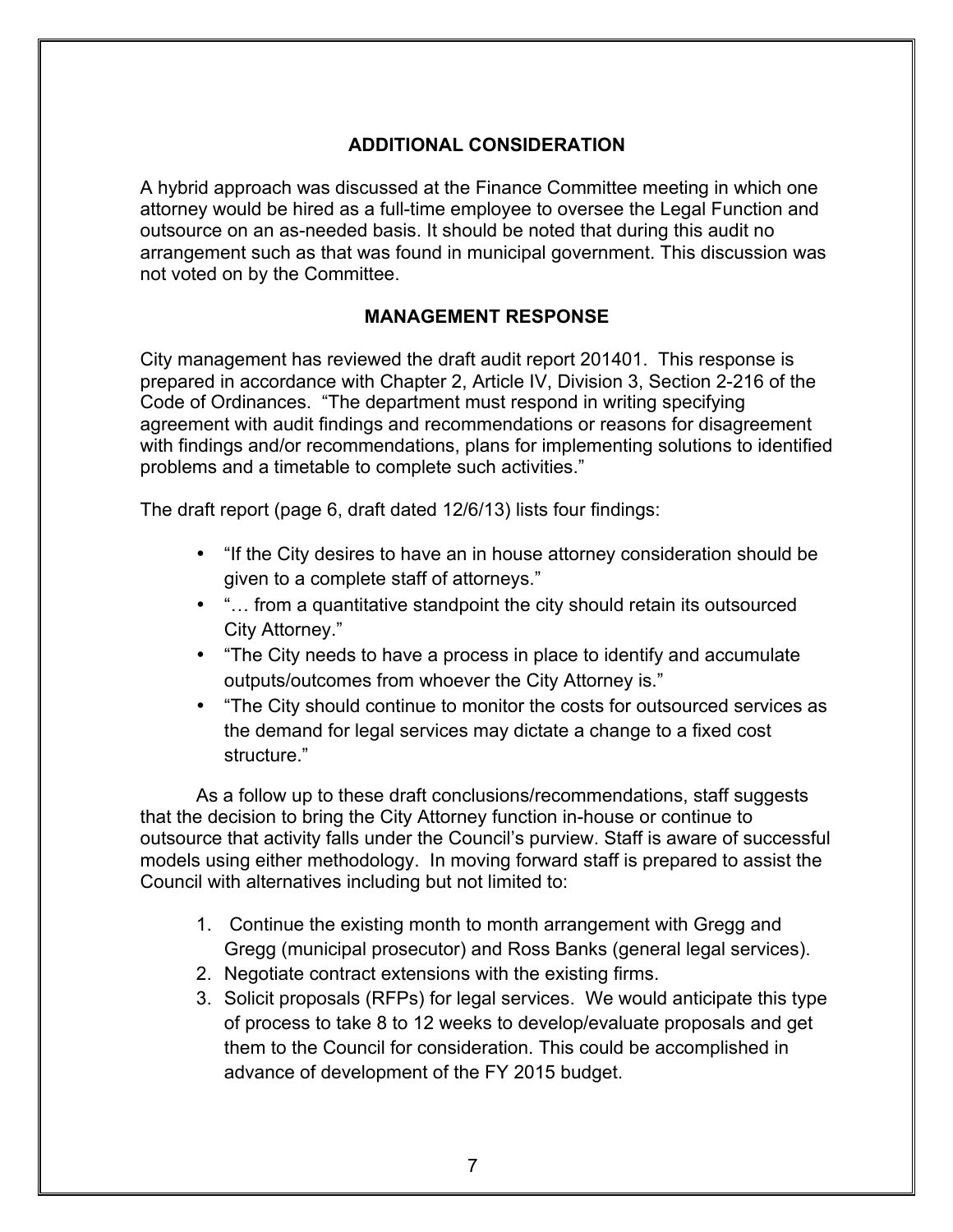# **ADDITIONAL CONSIDERATION**

A hybrid approach was discussed at the Finance Committee meeting in which one attorney would be hired as a full-time employee to oversee the Legal Function and outsource on an as-needed basis. It should be noted that during this audit no arrangement such as that was found in municipal government. This discussion was not voted on by the Committee.

#### **MANAGEMENT RESPONSE**

City management has reviewed the draft audit report 201401. This response is prepared in accordance with Chapter 2, Article IV, Division 3, Section 2-216 of the Code of Ordinances. "The department must respond in writing specifying agreement with audit findings and recommendations or reasons for disagreement with findings and/or recommendations, plans for implementing solutions to identified problems and a timetable to complete such activities."

The draft report (page 6, draft dated 12/6/13) lists four findings:

- "If the City desires to have an in house attorney consideration should be given to a complete staff of attorneys."
- "… from a quantitative standpoint the city should retain its outsourced City Attorney."
- "The City needs to have a process in place to identify and accumulate outputs/outcomes from whoever the City Attorney is."
- "The City should continue to monitor the costs for outsourced services as the demand for legal services may dictate a change to a fixed cost structure."

As a follow up to these draft conclusions/recommendations, staff suggests that the decision to bring the City Attorney function in-house or continue to outsource that activity falls under the Council's purview. Staff is aware of successful models using either methodology. In moving forward staff is prepared to assist the Council with alternatives including but not limited to:

- 1. Continue the existing month to month arrangement with Gregg and Gregg (municipal prosecutor) and Ross Banks (general legal services).
- 2. Negotiate contract extensions with the existing firms.
- 3. Solicit proposals (RFPs) for legal services. We would anticipate this type of process to take 8 to 12 weeks to develop/evaluate proposals and get them to the Council for consideration. This could be accomplished in advance of development of the FY 2015 budget.